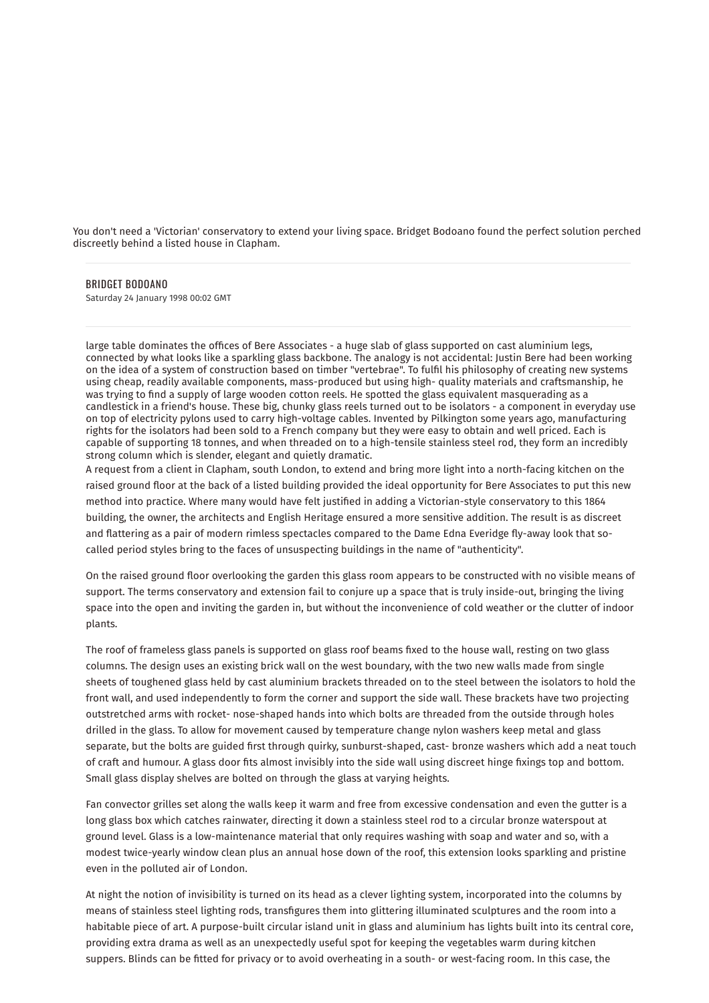You don't need a 'Victorian' conservatory to extend your living space. Bridget Bodoano found the perfect solution perched discreetly behind a listed house in Clapham.

## BRIDGET [BODOANO](https://www.independent.co.uk/author/bridget-bodoano)

Saturday 24 January 1998 00:02 GMT

large table dominates the offices of Bere Associates - a huge slab of glass supported on cast aluminium legs, connected by what looks like a sparkling glass backbone. The analogy is not accidental: Justin Bere had been working on the idea of a system of construction based on timber "vertebrae". To fulfil his philosophy of creating new systems using cheap, readily available components, mass-produced but using high- quality materials and craftsmanship, he was trying to find a supply of large wooden cotton reels. He spotted the glass equivalent masquerading as a candlestick in a friend's house. These big, chunky glass reels turned out to be isolators - a component in everyday use on top of electricity pylons used to carry high-voltage cables. Invented by Pilkington some years ago, manufacturing rights for the isolators had been sold to a French company but they were easy to obtain and well priced. Each is capable of supporting 18 tonnes, and when threaded on to a high-tensile stainless steel rod, they form an incredibly strong column which is slender, elegant and quietly dramatic.

A request from a client in Clapham, south London, to extend and bring more light into a north-facing kitchen on the raised ground floor at the back of a listed building provided the ideal opportunity for Bere Associates to put this new method into practice. Where many would have felt justified in adding a Victorian-style conservatory to this 1864 building, the owner, the architects and English Heritage ensured a more sensitive addition. The result is as discreet and flattering as a pair of modern rimless spectacles compared to the Dame Edna Everidge fly-away look that socalled period styles bring to the faces of unsuspecting buildings in the name of "authenticity".

On the raised ground floor overlooking the garden this glass room appears to be constructed with no visible means of support. The terms conservatory and extension fail to conjure up a space that is truly inside-out, bringing the living space into the open and inviting the garden in, but without the inconvenience of cold weather or the clutter of indoor plants.

The roof of frameless glass panels is supported on glass roof beams fixed to the house wall, resting on two glass columns. The design uses an existing brick wall on the west boundary, with the two new walls made from single sheets of toughened glass held by cast aluminium brackets threaded on to the steel between the isolators to hold the front wall, and used independently to form the corner and support the side wall. These brackets have two projecting outstretched arms with rocket- nose-shaped hands into which bolts are threaded from the outside through holes drilled in the glass. To allow for movement caused by temperature change nylon washers keep metal and glass separate, but the bolts are guided first through quirky, sunburst-shaped, cast- bronze washers which add a neat touch of craft and humour. A glass door fits almost invisibly into the side wall using discreet hinge fixings top and bottom. Small glass display shelves are bolted on through the glass at varying heights.

Fan convector grilles set along the walls keep it warm and free from excessive condensation and even the gutter is a long glass box which catches rainwater, directing it down a stainless steel rod to a circular bronze waterspout at ground level. Glass is a low-maintenance material that only requires washing with soap and water and so, with a modest twice-yearly window clean plus an annual hose down of the roof, this extension looks sparkling and pristine even in the polluted air of London.

At night the notion of invisibility is turned on its head as a clever lighting system, incorporated into the columns by means of stainless steel lighting rods, transfigures them into glittering illuminated sculptures and the room into a habitable piece of art. A purpose-built circular island unit in glass and aluminium has lights built into its central core, providing extra drama as well as an unexpectedly useful spot for keeping the vegetables warm during kitchen suppers. Blinds can be fitted for privacy or to avoid overheating in a south- or west-facing room. In this case, the